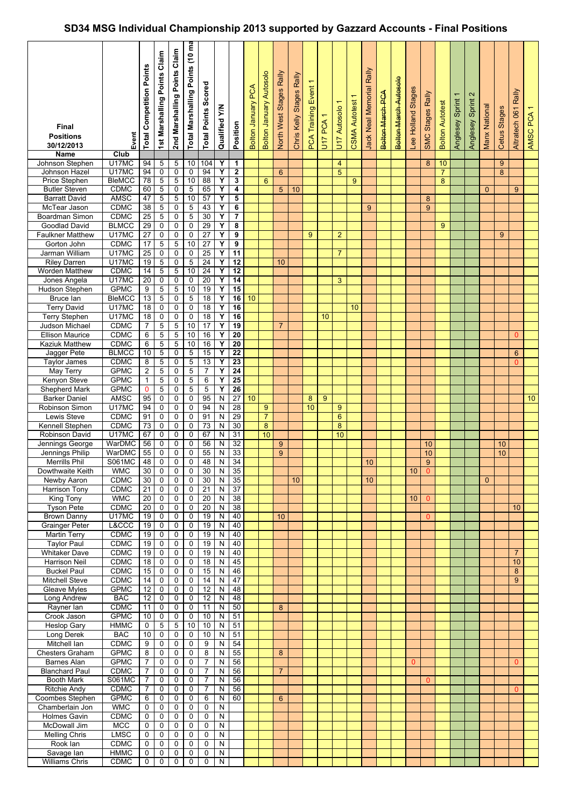## **SD34 MSG Individual Championship 2013 supported by Gazzard Accounts - Final Positions**

| Final<br><b>Positions</b><br>30/12/2013<br><b>Name</b> | Event<br>Club             | <b>Total Competition Points</b> | 1st Marshalling Points Claim | Claim<br>Points<br>2nd Marshalling | Total Marshalling Points (10 ma | <b>Total Points Scored</b> | ξ<br>Qualified         | Position                           | <b>Bolton January PCA</b> | <b>Bolton January Autosolo</b> | North West Stages Rally | Chris Kelly Stages Rally | <b>PCA Training Event</b> | U17 PCA 1 | $\overline{}$<br>U17 Autosolo | T<br><b>CSMA Autotest</b> | Jack Neal Memorial Rally | <b>Bolton March PCA</b> | Bolton March Autosolo | Lee Holland Stages | SMC Stages Rally | <b>Bolton Autotest</b> | $\overline{\phantom{0}}$<br>Anglesey Sprint | $\mathbf{\Omega}$<br>Anglesey Sprint | Manx National | Cetus Stages   | Rally<br>Altratech 061 | AMSC PCA 1 |
|--------------------------------------------------------|---------------------------|---------------------------------|------------------------------|------------------------------------|---------------------------------|----------------------------|------------------------|------------------------------------|---------------------------|--------------------------------|-------------------------|--------------------------|---------------------------|-----------|-------------------------------|---------------------------|--------------------------|-------------------------|-----------------------|--------------------|------------------|------------------------|---------------------------------------------|--------------------------------------|---------------|----------------|------------------------|------------|
| Johnson Stephen                                        | U17MC                     | 94                              | 5                            | 5                                  | 10                              | 104                        | Υ                      | 1                                  |                           |                                |                         |                          |                           |           | 4                             |                           |                          |                         |                       |                    | 8                | 10                     |                                             |                                      |               | $\overline{9}$ |                        |            |
| Johnson Hazel                                          | U17MC                     | 94                              | 0                            | 0                                  | 0                               | 94                         | Y                      | $\mathbf{2}$                       |                           |                                | 6                       |                          |                           |           | 5                             |                           |                          |                         |                       |                    |                  | $\overline{7}$         |                                             |                                      |               | 8              |                        |            |
| <b>Price Stephen</b>                                   | <b>BleMCC</b>             | 78                              | 5                            | 5                                  | 10                              | 88                         | Υ                      | 3                                  |                           | 6                              |                         |                          |                           |           |                               | 9                         |                          |                         |                       |                    |                  | 8                      |                                             |                                      |               |                |                        |            |
| <b>Butler Steven</b>                                   | <b>CDMC</b>               | 60                              | $\overline{5}$               |                                    | 5                               | 65                         | Υ                      | $\overline{\mathbf{4}}$            |                           |                                |                         |                          |                           |           |                               |                           |                          |                         |                       |                    |                  |                        |                                             |                                      |               |                |                        |            |
|                                                        |                           |                                 |                              | 0                                  |                                 |                            |                        |                                    |                           |                                | 5                       | 10                       |                           |           |                               |                           |                          |                         |                       |                    |                  |                        |                                             |                                      | $\Omega$      |                | 9                      |            |
| <b>Barratt David</b>                                   | AMSC                      | 47                              | $\mathbf 5$                  | 5                                  | $10$                            | 57                         | Υ                      | 5                                  |                           |                                |                         |                          |                           |           |                               |                           |                          |                         |                       |                    | 8                |                        |                                             |                                      |               |                |                        |            |
| McTear Jason                                           | <b>CDMC</b>               | 38                              | $\,$ 5 $\,$                  | 0                                  | $\,$ 5 $\,$                     | 43                         | Y                      | 6                                  |                           |                                |                         |                          |                           |           |                               |                           | 9                        |                         |                       |                    | 9                |                        |                                             |                                      |               |                |                        |            |
| Boardman Simon                                         | <b>CDMC</b>               | 25                              | 5                            | 0                                  | $\overline{5}$                  | 30                         | Y                      | $\overline{7}$                     |                           |                                |                         |                          |                           |           |                               |                           |                          |                         |                       |                    |                  |                        |                                             |                                      |               |                |                        |            |
| Goodlad David                                          | <b>BLMCC</b>              | 29                              | 0                            | $\mathbf 0$                        | $\mathsf 0$                     | 29                         | Y                      | 8                                  |                           |                                |                         |                          |                           |           |                               |                           |                          |                         |                       |                    |                  | 9                      |                                             |                                      |               |                |                        |            |
| <b>Faulkner Matthew</b>                                | U17MC                     | $\overline{27}$                 | 0                            | 0                                  | $\pmb{0}$                       | $\overline{27}$            | Y                      | 9                                  |                           |                                |                         |                          | 9                         |           | $\overline{2}$                |                           |                          |                         |                       |                    |                  |                        |                                             |                                      |               | 9              |                        |            |
| Gorton John                                            | <b>CDMC</b>               | 17                              | $\overline{5}$               | 5                                  | 10                              | 27                         | Y                      | 9                                  |                           |                                |                         |                          |                           |           |                               |                           |                          |                         |                       |                    |                  |                        |                                             |                                      |               |                |                        |            |
| Jarman William                                         | U17MC                     | $\overline{25}$                 | 0                            | 0                                  | 0                               | $\overline{25}$            | Y                      | $\overline{11}$                    |                           |                                |                         |                          |                           |           | $\overline{7}$                |                           |                          |                         |                       |                    |                  |                        |                                             |                                      |               |                |                        |            |
| <b>Riley Darren</b>                                    | U17MC                     | 19                              | 5                            | 0                                  | 5                               | $\overline{24}$            | Y                      | $\overline{12}$                    |                           |                                | 10                      |                          |                           |           |                               |                           |                          |                         |                       |                    |                  |                        |                                             |                                      |               |                |                        |            |
| Worden Matthew                                         | <b>CDMC</b>               | 14                              | 5                            | 5                                  | 10                              | $\overline{24}$            | Υ                      | $\overline{12}$                    |                           |                                |                         |                          |                           |           |                               |                           |                          |                         |                       |                    |                  |                        |                                             |                                      |               |                |                        |            |
| Jones Angela                                           | U17MC                     | 20                              | 0                            | 0                                  | 0                               | $\overline{20}$            | Υ                      | 14                                 |                           |                                |                         |                          |                           |           | 3                             |                           |                          |                         |                       |                    |                  |                        |                                             |                                      |               |                |                        |            |
| Hudson Stephen                                         | <b>GPMC</b>               | 9                               | 5                            | 5                                  | 10                              | 19                         | Υ                      | 15                                 |                           |                                |                         |                          |                           |           |                               |                           |                          |                         |                       |                    |                  |                        |                                             |                                      |               |                |                        |            |
| Bruce lan                                              | <b>BleMCC</b>             | 13                              | 5                            | 0                                  | $\overline{5}$                  | $\overline{18}$            | Υ                      | 16                                 | 10                        |                                |                         |                          |                           |           |                               |                           |                          |                         |                       |                    |                  |                        |                                             |                                      |               |                |                        |            |
| <b>Terry David</b>                                     | U17MC                     | 18                              | $\mathbf 0$                  | 0                                  | 0                               | $\overline{18}$            | Y                      | 16                                 |                           |                                |                         |                          |                           |           |                               | 10                        |                          |                         |                       |                    |                  |                        |                                             |                                      |               |                |                        |            |
| <b>Terry Stephen</b>                                   | U17MC                     | 18                              | 0                            | 0                                  | $\pmb{0}$                       | 18                         | Y                      | 16                                 |                           |                                |                         |                          |                           | 10        |                               |                           |                          |                         |                       |                    |                  |                        |                                             |                                      |               |                |                        |            |
| Judson Michael                                         | <b>CDMC</b>               | 7                               | 5                            | 5                                  | 10                              | 17                         | Y                      | 19                                 |                           |                                | $\overline{7}$          |                          |                           |           |                               |                           |                          |                         |                       |                    |                  |                        |                                             |                                      |               |                |                        |            |
| <b>Ellison Maurice</b>                                 | <b>CDMC</b>               | 6                               | 5                            | 5                                  | 10                              | 16                         | Y                      | $\overline{20}$                    |                           |                                |                         |                          |                           |           |                               |                           |                          |                         |                       |                    |                  |                        |                                             |                                      |               |                | $\Omega$               |            |
| Kaziuk Matthew                                         | <b>CDMC</b>               | 6                               | 5                            | 5                                  | 10                              | 16                         | Υ                      | $\overline{20}$                    |                           |                                |                         |                          |                           |           |                               |                           |                          |                         |                       |                    |                  |                        |                                             |                                      |               |                |                        |            |
| Jagger Pete                                            | <b>BLMCC</b>              | 10                              | 5                            | 0                                  | $\mathbf 5$                     | 15                         | Y                      | $\overline{22}$                    |                           |                                |                         |                          |                           |           |                               |                           |                          |                         |                       |                    |                  |                        |                                             |                                      |               |                | 6                      |            |
| <b>Taylor James</b>                                    | <b>CDMC</b>               | 8                               | 5                            | 0                                  | $\overline{5}$                  | 13                         | Y                      | $\overline{23}$                    |                           |                                |                         |                          |                           |           |                               |                           |                          |                         |                       |                    |                  |                        |                                             |                                      |               |                | $\Omega$               |            |
| May Terry                                              | <b>GPMC</b>               | $\overline{2}$                  | 5                            | 0                                  | $\,$ 5 $\,$                     | $\overline{7}$             | Y<br>Y                 | $\overline{24}$<br>$\overline{25}$ |                           |                                |                         |                          |                           |           |                               |                           |                          |                         |                       |                    |                  |                        |                                             |                                      |               |                |                        |            |
| Kenyon Steve                                           | <b>GPMC</b>               | 1                               | 5                            | 0                                  | 5                               | 6                          |                        |                                    |                           |                                |                         |                          |                           |           |                               |                           |                          |                         |                       |                    |                  |                        |                                             |                                      |               |                |                        |            |
| Shepherd Mark                                          | <b>GPMC</b>               | $\mathbf 0$                     | 5                            | 0                                  | $\overline{5}$                  | 5                          | Y                      | $\overline{26}$                    |                           |                                |                         |                          |                           |           |                               |                           |                          |                         |                       |                    |                  |                        |                                             |                                      |               |                |                        |            |
| <b>Barker Daniel</b>                                   | AMSC                      | 95                              | 0                            | 0                                  | 0                               | 95                         | ${\sf N}$              | $\overline{27}$                    | 10                        |                                |                         |                          | 8                         | 9         |                               |                           |                          |                         |                       |                    |                  |                        |                                             |                                      |               |                |                        | 10         |
| Robinson Simon                                         | U17MC                     | 94                              | 0                            | 0                                  | 0                               | 94                         | N                      | 28                                 |                           | 9                              |                         |                          | 10                        |           | 9                             |                           |                          |                         |                       |                    |                  |                        |                                             |                                      |               |                |                        |            |
| Lewis Steve                                            | <b>CDMC</b>               | 91                              | $\mathbf 0$                  | 0                                  | 0                               | 91                         | N                      | 29                                 |                           | $\overline{7}$                 |                         |                          |                           |           | 6                             |                           |                          |                         |                       |                    |                  |                        |                                             |                                      |               |                |                        |            |
| Kennell Stephen                                        | <b>CDMC</b>               | 73                              | 0                            | 0                                  | $\pmb{0}$                       | 73                         | N                      | 30                                 |                           | 8<br>10                        |                         |                          |                           |           | 8                             |                           |                          |                         |                       |                    |                  |                        |                                             |                                      |               |                |                        |            |
| Robinson David                                         | U17MC                     | 67                              | 0                            | 0                                  | 0                               | 67                         | N                      | 31                                 |                           |                                |                         |                          |                           |           | 10                            |                           |                          |                         |                       |                    |                  |                        |                                             |                                      |               |                |                        |            |
| Jennings George                                        | WarDMC                    | 56                              | 0                            | 0                                  | 0                               | 56                         | N                      | 32                                 |                           |                                | 9                       |                          |                           |           |                               |                           |                          |                         |                       |                    | 10               |                        |                                             |                                      |               | 10             |                        |            |
| Jennings Philip                                        | WarDMC                    | 55                              | 0                            | 0<br>0                             | 0<br>$\overline{0}$             | 55<br>48                   | N                      | 33<br>34                           |                           |                                | 9                       |                          |                           |           |                               |                           |                          |                         |                       |                    | 10               |                        |                                             |                                      |               | 10             |                        |            |
| <b>Merrills Phil</b>                                   | S061MC                    | 48                              | $\pmb{0}$                    |                                    |                                 |                            | N                      |                                    |                           |                                |                         |                          |                           |           |                               |                           | 10                       |                         |                       |                    | 9                |                        |                                             |                                      |               |                |                        |            |
| Dowthwaite Keith                                       | <b>WMC</b><br><b>CDMC</b> | 30                              | 0                            | 0                                  | 0                               | 30                         | N                      | 35                                 |                           |                                |                         |                          |                           |           |                               |                           |                          |                         |                       | 10 <sup>1</sup>    | $\mathbf{0}$     |                        |                                             |                                      |               |                |                        |            |
| Newby Aaron<br><b>Harrison Tony</b>                    | <b>CDMC</b>               | 30<br>21                        | $\mathbf 0$                  | 0<br>0                             | 0<br>0                          | 30<br>21                   | ${\sf N}$<br>${\sf N}$ | 35<br>37                           |                           |                                |                         | 10                       |                           |           |                               |                           | 10                       |                         |                       |                    |                  |                        |                                             |                                      | $\mathbf{0}$  |                |                        |            |
| <b>King Tony</b>                                       | <b>WMC</b>                | 20                              | 0<br>0                       | 0                                  | 0                               | 20                         | ${\sf N}$              | 38                                 |                           |                                |                         |                          |                           |           |                               |                           |                          |                         |                       | 10 <sup>1</sup>    | $\overline{0}$   |                        |                                             |                                      |               |                |                        |            |
| <b>Tyson Pete</b>                                      | CDMC                      | 20                              | 0                            | 0                                  | 0                               | 20                         | ${\sf N}$              | 38                                 |                           |                                |                         |                          |                           |           |                               |                           |                          |                         |                       |                    |                  |                        |                                             |                                      |               |                | 10 <sup>1</sup>        |            |
| <b>Brown Danny</b>                                     | U17MC                     | 19                              | 0                            | 0                                  | $\pmb{0}$                       | 19                         | ${\sf N}$              | 40                                 |                           |                                | 10                      |                          |                           |           |                               |                           |                          |                         |                       |                    | $\mathbf{0}$     |                        |                                             |                                      |               |                |                        |            |
| <b>Grainger Peter</b>                                  | L&CCC                     | 19                              | 0                            | 0                                  | 0                               | 19                         | N                      | 40                                 |                           |                                |                         |                          |                           |           |                               |                           |                          |                         |                       |                    |                  |                        |                                             |                                      |               |                |                        |            |
| <b>Martin Terry</b>                                    | <b>CDMC</b>               | 19                              | 0                            | 0                                  | 0                               | 19                         | ${\sf N}$              | 40                                 |                           |                                |                         |                          |                           |           |                               |                           |                          |                         |                       |                    |                  |                        |                                             |                                      |               |                |                        |            |
| Taylor Paul                                            | <b>CDMC</b>               | 19                              | 0                            | 0                                  | 0                               | 19                         | $\mathsf{N}$           | 40                                 |                           |                                |                         |                          |                           |           |                               |                           |                          |                         |                       |                    |                  |                        |                                             |                                      |               |                |                        |            |
| <b>Whitaker Dave</b>                                   | <b>CDMC</b>               | 19                              | 0                            | 0                                  | 0                               | 19                         | N                      | 40                                 |                           |                                |                         |                          |                           |           |                               |                           |                          |                         |                       |                    |                  |                        |                                             |                                      |               |                | $\overline{7}$         |            |
| Harrison Neil                                          | <b>CDMC</b>               | 18                              | 0                            | 0                                  | 0                               | 18                         | ${\sf N}$              | 45                                 |                           |                                |                         |                          |                           |           |                               |                           |                          |                         |                       |                    |                  |                        |                                             |                                      |               |                | 10                     |            |
| <b>Buckel Paul</b>                                     | <b>CDMC</b>               | 15                              | 0                            | 0                                  | 0                               | 15                         | N                      | 46                                 |                           |                                |                         |                          |                           |           |                               |                           |                          |                         |                       |                    |                  |                        |                                             |                                      |               |                | 8                      |            |
| <b>Mitchell Steve</b>                                  | <b>CDMC</b>               | 14                              | 0                            | 0                                  | 0                               | 14                         | N                      | 47                                 |                           |                                |                         |                          |                           |           |                               |                           |                          |                         |                       |                    |                  |                        |                                             |                                      |               |                | 9                      |            |
| Gleave Myles                                           | <b>GPMC</b>               | 12                              | 0                            | 0                                  | 0                               | $\overline{12}$            | ${\sf N}$              | 48                                 |                           |                                |                         |                          |                           |           |                               |                           |                          |                         |                       |                    |                  |                        |                                             |                                      |               |                |                        |            |
| Long Andrew                                            | <b>BAC</b>                | 12                              | 0                            | 0                                  | 0                               | $\overline{12}$            | N                      | 48                                 |                           |                                |                         |                          |                           |           |                               |                           |                          |                         |                       |                    |                  |                        |                                             |                                      |               |                |                        |            |
| Rayner lan                                             | CDMC                      | 11                              | 0                            | 0                                  | 0                               | 11                         | N                      | 50                                 |                           |                                | 8                       |                          |                           |           |                               |                           |                          |                         |                       |                    |                  |                        |                                             |                                      |               |                |                        |            |
| Crook Jason                                            | <b>GPMC</b>               | 10                              | $\mathsf 0$                  | 0                                  | $\mathbf 0$                     | 10                         | N                      | 51                                 |                           |                                |                         |                          |                           |           |                               |                           |                          |                         |                       |                    |                  |                        |                                             |                                      |               |                |                        |            |
| Heslop Gary                                            | <b>HMMC</b>               | $\mathbf 0$                     | 5                            | 5                                  | 10                              | 10                         | ${\sf N}$              | 51                                 |                           |                                |                         |                          |                           |           |                               |                           |                          |                         |                       |                    |                  |                        |                                             |                                      |               |                |                        |            |
| Long Derek                                             | <b>BAC</b>                | 10                              | 0                            | 0                                  | 0                               | 10                         | ${\sf N}$              | 51                                 |                           |                                |                         |                          |                           |           |                               |                           |                          |                         |                       |                    |                  |                        |                                             |                                      |               |                |                        |            |
| Mitchell Ian                                           | <b>CDMC</b>               | 9                               | 0                            | 0                                  | 0                               | 9                          | N                      | 54                                 |                           |                                |                         |                          |                           |           |                               |                           |                          |                         |                       |                    |                  |                        |                                             |                                      |               |                |                        |            |
| Chesters Graham                                        | <b>GPMC</b>               | 8                               | 0                            | 0                                  | 0                               | 8                          | N                      | 55                                 |                           |                                | 8                       |                          |                           |           |                               |                           |                          |                         |                       |                    |                  |                        |                                             |                                      |               |                |                        |            |
| Barnes Alan                                            | <b>GPMC</b>               | 7                               | 0                            | 0                                  | 0                               | $\overline{7}$             | N                      | 56                                 |                           |                                |                         |                          |                           |           |                               |                           |                          |                         |                       | $\mathbf{0}$       |                  |                        |                                             |                                      |               |                | $\mathbf{0}$           |            |
| <b>Blanchard Paul</b>                                  | <b>CDMC</b>               | $\overline{7}$                  | 0                            | 0                                  | 0                               | $\overline{7}$             | N                      | 56                                 |                           |                                | $\overline{7}$          |                          |                           |           |                               |                           |                          |                         |                       |                    |                  |                        |                                             |                                      |               |                |                        |            |
| <b>Booth Mark</b>                                      | <b>S061MC</b>             | 7                               | 0                            | 0                                  | 0                               | $\overline{7}$             | ${\sf N}$              | 56                                 |                           |                                |                         |                          |                           |           |                               |                           |                          |                         |                       |                    | $\mathbf{0}$     |                        |                                             |                                      |               |                |                        |            |
| <b>Ritchie Andy</b>                                    | <b>CDMC</b>               | 7                               | 0                            | 0                                  | 0                               | $\overline{7}$             | N                      | 56                                 |                           |                                |                         |                          |                           |           |                               |                           |                          |                         |                       |                    |                  |                        |                                             |                                      |               |                | $\mathbf{0}$           |            |
| Coombes Stephen                                        | <b>GPMC</b>               | 6                               | 0                            | 0                                  | 0                               | 6                          | N                      | 60                                 |                           |                                | $6\phantom{1}6$         |                          |                           |           |                               |                           |                          |                         |                       |                    |                  |                        |                                             |                                      |               |                |                        |            |
| Chamberlain Jon                                        | <b>WMC</b>                | 0                               | 0                            | 0                                  | 0                               | 0                          | ${\sf N}$              |                                    |                           |                                |                         |                          |                           |           |                               |                           |                          |                         |                       |                    |                  |                        |                                             |                                      |               |                |                        |            |
| Holmes Gavin                                           | <b>CDMC</b>               | 0                               | 0                            | 0                                  | 0                               | 0                          | ${\sf N}$              |                                    |                           |                                |                         |                          |                           |           |                               |                           |                          |                         |                       |                    |                  |                        |                                             |                                      |               |                |                        |            |
| McDowall Jim                                           | <b>MCC</b>                | 0                               | 0                            | 0                                  | 0                               | 0                          | N                      |                                    |                           |                                |                         |                          |                           |           |                               |                           |                          |                         |                       |                    |                  |                        |                                             |                                      |               |                |                        |            |
| <b>Melling Chris</b>                                   | <b>LMSC</b>               | $\mathbf 0$                     | 0                            | 0                                  | 0                               | $\mathbf 0$                | N                      |                                    |                           |                                |                         |                          |                           |           |                               |                           |                          |                         |                       |                    |                  |                        |                                             |                                      |               |                |                        |            |
| Rook lan                                               | <b>CDMC</b>               | 0                               | 0                            | 0                                  | 0                               | 0                          | ${\sf N}$              |                                    |                           |                                |                         |                          |                           |           |                               |                           |                          |                         |                       |                    |                  |                        |                                             |                                      |               |                |                        |            |
| Savage lan                                             | <b>HMMC</b>               | 0                               | 0                            | 0                                  | 0                               | 0                          | N                      |                                    |                           |                                |                         |                          |                           |           |                               |                           |                          |                         |                       |                    |                  |                        |                                             |                                      |               |                |                        |            |
| Williams Chris                                         | CDMC                      | 0                               | 0                            | 0                                  | 0                               | $\pmb{0}$                  | ${\sf N}$              |                                    |                           |                                |                         |                          |                           |           |                               |                           |                          |                         |                       |                    |                  |                        |                                             |                                      |               |                |                        |            |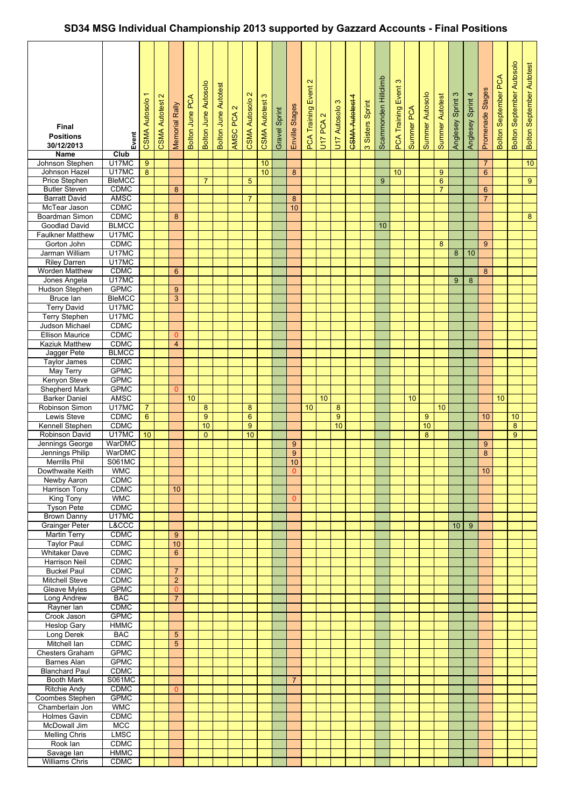## **SD34 MSG Individual Championship 2013 supported by Gazzard Accounts - Final Positions**

| Final<br><b>Positions</b><br>30/12/2013<br><b>Name</b> | Event<br>Club               | <b>CSMA Autosolo</b> | $\mathbf{\Omega}$<br><b>CSMA Autotest</b> | Memorial Rally                   | Bolton June PCA | <b>Bolton June Autosolo</b> | <b>Bolton June Autotest</b> | $\mathbf{\alpha}$<br>AMSC PCA | $\mathbf{\Omega}$<br><b>CSMA Autosolo</b> | <b>CSMA Autotest 3</b> | Gravel Sprint | Enville Stages       | $\mathbf{\Omega}$<br><b>PCA Training Event</b> | U17 PCA 2 | U17 Autosolo 3 | CSMA Autotest 4 | 3 Sisters Sprint | Scammonden Hillclimb | $\infty$<br>Event<br><b>PCA Training</b> | Summer PCA | Summer Autosolo | Summer Autotest | Anglesey Sprint 3 | Anglesey Sprint 4 | Promenade Stages | <b>Bolton September PCA</b> | <b>Bolton September Autosolo</b> | <b>Bolton September Autotest</b> |
|--------------------------------------------------------|-----------------------------|----------------------|-------------------------------------------|----------------------------------|-----------------|-----------------------------|-----------------------------|-------------------------------|-------------------------------------------|------------------------|---------------|----------------------|------------------------------------------------|-----------|----------------|-----------------|------------------|----------------------|------------------------------------------|------------|-----------------|-----------------|-------------------|-------------------|------------------|-----------------------------|----------------------------------|----------------------------------|
| Johnson Stephen                                        | U17MC                       | 9                    |                                           |                                  |                 |                             |                             |                               |                                           | 10                     |               |                      |                                                |           |                |                 |                  |                      |                                          |            |                 |                 |                   |                   | $\overline{7}$   |                             |                                  | 10                               |
| Johnson Hazel                                          | U17MC                       | 8                    |                                           |                                  |                 |                             |                             |                               |                                           | 10 <sup>1</sup>        |               | 8                    |                                                |           |                |                 |                  |                      | 10                                       |            |                 | 9               |                   |                   | 6                |                             |                                  |                                  |
| <b>Price Stephen</b>                                   | <b>BleMCC</b>               |                      |                                           |                                  |                 | $\overline{7}$              |                             |                               | 5                                         |                        |               |                      |                                                |           |                |                 |                  | 9                    |                                          |            |                 | $6\phantom{1}$  |                   |                   |                  |                             |                                  | $\overline{9}$                   |
| <b>Butler Steven</b>                                   | <b>CDMC</b>                 |                      |                                           | 8                                |                 |                             |                             |                               |                                           |                        |               |                      |                                                |           |                |                 |                  |                      |                                          |            |                 | $\overline{7}$  |                   |                   | 6                |                             |                                  |                                  |
| <b>Barratt David</b>                                   | <b>AMSC</b>                 |                      |                                           |                                  |                 |                             |                             |                               | $\overline{7}$                            |                        |               | 8                    |                                                |           |                |                 |                  |                      |                                          |            |                 |                 |                   |                   | $\overline{7}$   |                             |                                  |                                  |
| McTear Jason                                           | <b>CDMC</b>                 |                      |                                           |                                  |                 |                             |                             |                               |                                           |                        |               | 10                   |                                                |           |                |                 |                  |                      |                                          |            |                 |                 |                   |                   |                  |                             |                                  |                                  |
| Boardman Simon                                         | <b>CDMC</b>                 |                      |                                           | 8                                |                 |                             |                             |                               |                                           |                        |               |                      |                                                |           |                |                 |                  |                      |                                          |            |                 |                 |                   |                   |                  |                             |                                  | 8 <sup>°</sup>                   |
| Goodlad David                                          | <b>BLMCC</b>                |                      |                                           |                                  |                 |                             |                             |                               |                                           |                        |               |                      |                                                |           |                |                 |                  | 10                   |                                          |            |                 |                 |                   |                   |                  |                             |                                  |                                  |
| <b>Faulkner Matthew</b><br>Gorton John                 | U17MC<br><b>CDMC</b>        |                      |                                           |                                  |                 |                             |                             |                               |                                           |                        |               |                      |                                                |           |                |                 |                  |                      |                                          |            |                 | 8               |                   |                   | 9                |                             |                                  |                                  |
| Jarman William                                         | U17MC                       |                      |                                           |                                  |                 |                             |                             |                               |                                           |                        |               |                      |                                                |           |                |                 |                  |                      |                                          |            |                 |                 | 8                 | 10                |                  |                             |                                  |                                  |
| <b>Riley Darren</b>                                    | U17MC                       |                      |                                           |                                  |                 |                             |                             |                               |                                           |                        |               |                      |                                                |           |                |                 |                  |                      |                                          |            |                 |                 |                   |                   |                  |                             |                                  |                                  |
| Worden Matthew                                         | <b>CDMC</b>                 |                      |                                           | 6                                |                 |                             |                             |                               |                                           |                        |               |                      |                                                |           |                |                 |                  |                      |                                          |            |                 |                 |                   |                   | 8                |                             |                                  |                                  |
| Jones Angela                                           | U17MC                       |                      |                                           |                                  |                 |                             |                             |                               |                                           |                        |               |                      |                                                |           |                |                 |                  |                      |                                          |            |                 |                 | 9                 | 8                 |                  |                             |                                  |                                  |
| <b>Hudson Stephen</b>                                  | <b>GPMC</b>                 |                      |                                           | 9                                |                 |                             |                             |                               |                                           |                        |               |                      |                                                |           |                |                 |                  |                      |                                          |            |                 |                 |                   |                   |                  |                             |                                  |                                  |
| Bruce lan                                              | <b>BleMCC</b>               |                      |                                           | 3                                |                 |                             |                             |                               |                                           |                        |               |                      |                                                |           |                |                 |                  |                      |                                          |            |                 |                 |                   |                   |                  |                             |                                  |                                  |
| <b>Terry David</b>                                     | U17MC                       |                      |                                           |                                  |                 |                             |                             |                               |                                           |                        |               |                      |                                                |           |                |                 |                  |                      |                                          |            |                 |                 |                   |                   |                  |                             |                                  |                                  |
| <b>Terry Stephen</b>                                   | U17MC                       |                      |                                           |                                  |                 |                             |                             |                               |                                           |                        |               |                      |                                                |           |                |                 |                  |                      |                                          |            |                 |                 |                   |                   |                  |                             |                                  |                                  |
| Judson Michael                                         | <b>CDMC</b>                 |                      |                                           |                                  |                 |                             |                             |                               |                                           |                        |               |                      |                                                |           |                |                 |                  |                      |                                          |            |                 |                 |                   |                   |                  |                             |                                  |                                  |
| <b>Ellison Maurice</b>                                 | <b>CDMC</b>                 |                      |                                           | $\mathbf{0}$                     |                 |                             |                             |                               |                                           |                        |               |                      |                                                |           |                |                 |                  |                      |                                          |            |                 |                 |                   |                   |                  |                             |                                  |                                  |
| <b>Kaziuk Matthew</b>                                  | CDMC                        |                      |                                           | $\overline{4}$                   |                 |                             |                             |                               |                                           |                        |               |                      |                                                |           |                |                 |                  |                      |                                          |            |                 |                 |                   |                   |                  |                             |                                  |                                  |
| Jagger Pete<br><b>Taylor James</b>                     | <b>BLMCC</b><br>CDMC        |                      |                                           |                                  |                 |                             |                             |                               |                                           |                        |               |                      |                                                |           |                |                 |                  |                      |                                          |            |                 |                 |                   |                   |                  |                             |                                  |                                  |
| May Terry                                              | <b>GPMC</b>                 |                      |                                           |                                  |                 |                             |                             |                               |                                           |                        |               |                      |                                                |           |                |                 |                  |                      |                                          |            |                 |                 |                   |                   |                  |                             |                                  |                                  |
| Kenyon Steve                                           | <b>GPMC</b>                 |                      |                                           |                                  |                 |                             |                             |                               |                                           |                        |               |                      |                                                |           |                |                 |                  |                      |                                          |            |                 |                 |                   |                   |                  |                             |                                  |                                  |
| Shepherd Mark                                          | <b>GPMC</b>                 |                      |                                           | 0                                |                 |                             |                             |                               |                                           |                        |               |                      |                                                |           |                |                 |                  |                      |                                          |            |                 |                 |                   |                   |                  |                             |                                  |                                  |
| <b>Barker Daniel</b>                                   | <b>AMSC</b>                 |                      |                                           |                                  | 10              |                             |                             |                               |                                           |                        |               |                      |                                                | 10        |                |                 |                  |                      |                                          | 10         |                 |                 |                   |                   |                  | 10                          |                                  |                                  |
| Robinson Simon                                         | U17MC                       | $\overline{7}$       |                                           |                                  |                 | 8                           |                             |                               | 8                                         |                        |               |                      | 10                                             |           | 8              |                 |                  |                      |                                          |            |                 | 10              |                   |                   |                  |                             |                                  |                                  |
| Lewis Steve                                            | CDMC                        | $6\phantom{a}$       |                                           |                                  |                 | $\overline{9}$              |                             |                               | $6\phantom{a}$                            |                        |               |                      |                                                |           | 9              |                 |                  |                      |                                          |            | 9               |                 |                   |                   | 10               |                             | 10                               |                                  |
| Kennell Stephen                                        | <b>CDMC</b>                 |                      |                                           |                                  |                 | 10                          |                             |                               | 9                                         |                        |               |                      |                                                |           | 10             |                 |                  |                      |                                          |            | 10              |                 |                   |                   |                  |                             | 8                                |                                  |
| Robinson David                                         | U17MC                       | 10                   |                                           |                                  |                 | $\mathbf{0}$                |                             |                               | 10                                        |                        |               |                      |                                                |           |                |                 |                  |                      |                                          |            | 8               |                 |                   |                   |                  |                             | $\overline{9}$                   |                                  |
| Jennings George                                        | WarDMC                      |                      |                                           |                                  |                 |                             |                             |                               |                                           |                        |               | 9                    |                                                |           |                |                 |                  |                      |                                          |            |                 |                 |                   |                   | 9                |                             |                                  |                                  |
| Jennings Philip                                        | WarDMC                      |                      |                                           |                                  |                 |                             |                             |                               |                                           |                        |               | 9                    |                                                |           |                |                 |                  |                      |                                          |            |                 |                 |                   |                   | 8                |                             |                                  |                                  |
| <b>Merrills Phil</b><br>Dowthwaite Keith               | <b>S061MC</b><br><b>WMC</b> |                      |                                           |                                  |                 |                             |                             |                               |                                           |                        |               | 10<br>$\overline{0}$ |                                                |           |                |                 |                  |                      |                                          |            |                 |                 |                   |                   | 10               |                             |                                  |                                  |
| Newby Aaron                                            | <b>CDMC</b>                 |                      |                                           |                                  |                 |                             |                             |                               |                                           |                        |               |                      |                                                |           |                |                 |                  |                      |                                          |            |                 |                 |                   |                   |                  |                             |                                  |                                  |
| Harrison Tony                                          | <b>CDMC</b>                 |                      |                                           | 10                               |                 |                             |                             |                               |                                           |                        |               |                      |                                                |           |                |                 |                  |                      |                                          |            |                 |                 |                   |                   |                  |                             |                                  |                                  |
| King Tony                                              | <b>WMC</b>                  |                      |                                           |                                  |                 |                             |                             |                               |                                           |                        |               | $\mathbf{0}$         |                                                |           |                |                 |                  |                      |                                          |            |                 |                 |                   |                   |                  |                             |                                  |                                  |
| <b>Tyson Pete</b>                                      | <b>CDMC</b>                 |                      |                                           |                                  |                 |                             |                             |                               |                                           |                        |               |                      |                                                |           |                |                 |                  |                      |                                          |            |                 |                 |                   |                   |                  |                             |                                  |                                  |
| <b>Brown Danny</b>                                     | U17MC                       |                      |                                           |                                  |                 |                             |                             |                               |                                           |                        |               |                      |                                                |           |                |                 |                  |                      |                                          |            |                 |                 |                   |                   |                  |                             |                                  |                                  |
| <b>Grainger Peter</b>                                  | L&CCC                       |                      |                                           |                                  |                 |                             |                             |                               |                                           |                        |               |                      |                                                |           |                |                 |                  |                      |                                          |            |                 |                 | 10                | 9                 |                  |                             |                                  |                                  |
| <b>Martin Terry</b>                                    | <b>CDMC</b>                 |                      |                                           | 9                                |                 |                             |                             |                               |                                           |                        |               |                      |                                                |           |                |                 |                  |                      |                                          |            |                 |                 |                   |                   |                  |                             |                                  |                                  |
| <b>Taylor Paul</b>                                     | <b>CDMC</b>                 |                      |                                           | 10                               |                 |                             |                             |                               |                                           |                        |               |                      |                                                |           |                |                 |                  |                      |                                          |            |                 |                 |                   |                   |                  |                             |                                  |                                  |
| <b>Whitaker Dave</b>                                   | <b>CDMC</b>                 |                      |                                           | $6\phantom{a}$                   |                 |                             |                             |                               |                                           |                        |               |                      |                                                |           |                |                 |                  |                      |                                          |            |                 |                 |                   |                   |                  |                             |                                  |                                  |
| <b>Harrison Neil</b>                                   | <b>CDMC</b>                 |                      |                                           |                                  |                 |                             |                             |                               |                                           |                        |               |                      |                                                |           |                |                 |                  |                      |                                          |            |                 |                 |                   |                   |                  |                             |                                  |                                  |
| <b>Buckel Paul</b><br>Mitchell Steve                   | <b>CDMC</b><br><b>CDMC</b>  |                      |                                           | $\overline{7}$<br>$\overline{a}$ |                 |                             |                             |                               |                                           |                        |               |                      |                                                |           |                |                 |                  |                      |                                          |            |                 |                 |                   |                   |                  |                             |                                  |                                  |
| Gleave Myles                                           | <b>GPMC</b>                 |                      |                                           | $\mathbf{0}$                     |                 |                             |                             |                               |                                           |                        |               |                      |                                                |           |                |                 |                  |                      |                                          |            |                 |                 |                   |                   |                  |                             |                                  |                                  |
| Long Andrew                                            | <b>BAC</b>                  |                      |                                           | $\overline{7}$                   |                 |                             |                             |                               |                                           |                        |               |                      |                                                |           |                |                 |                  |                      |                                          |            |                 |                 |                   |                   |                  |                             |                                  |                                  |
| Rayner lan                                             | <b>CDMC</b>                 |                      |                                           |                                  |                 |                             |                             |                               |                                           |                        |               |                      |                                                |           |                |                 |                  |                      |                                          |            |                 |                 |                   |                   |                  |                             |                                  |                                  |
| Crook Jason                                            | <b>GPMC</b>                 |                      |                                           |                                  |                 |                             |                             |                               |                                           |                        |               |                      |                                                |           |                |                 |                  |                      |                                          |            |                 |                 |                   |                   |                  |                             |                                  |                                  |
| Heslop Gary                                            | <b>HMMC</b>                 |                      |                                           |                                  |                 |                             |                             |                               |                                           |                        |               |                      |                                                |           |                |                 |                  |                      |                                          |            |                 |                 |                   |                   |                  |                             |                                  |                                  |
| Long Derek                                             | <b>BAC</b>                  |                      |                                           | $5\overline{)}$                  |                 |                             |                             |                               |                                           |                        |               |                      |                                                |           |                |                 |                  |                      |                                          |            |                 |                 |                   |                   |                  |                             |                                  |                                  |
| Mitchell Ian                                           | <b>CDMC</b>                 |                      |                                           | $5\overline{)}$                  |                 |                             |                             |                               |                                           |                        |               |                      |                                                |           |                |                 |                  |                      |                                          |            |                 |                 |                   |                   |                  |                             |                                  |                                  |
| <b>Chesters Graham</b>                                 | <b>GPMC</b>                 |                      |                                           |                                  |                 |                             |                             |                               |                                           |                        |               |                      |                                                |           |                |                 |                  |                      |                                          |            |                 |                 |                   |                   |                  |                             |                                  |                                  |
| Barnes Alan                                            | <b>GPMC</b>                 |                      |                                           |                                  |                 |                             |                             |                               |                                           |                        |               |                      |                                                |           |                |                 |                  |                      |                                          |            |                 |                 |                   |                   |                  |                             |                                  |                                  |
| <b>Blanchard Paul</b>                                  | <b>CDMC</b>                 |                      |                                           |                                  |                 |                             |                             |                               |                                           |                        |               |                      |                                                |           |                |                 |                  |                      |                                          |            |                 |                 |                   |                   |                  |                             |                                  |                                  |
| <b>Booth Mark</b>                                      | <b>S061MC</b>               |                      |                                           |                                  |                 |                             |                             |                               |                                           |                        |               | $\overline{7}$       |                                                |           |                |                 |                  |                      |                                          |            |                 |                 |                   |                   |                  |                             |                                  |                                  |
| <b>Ritchie Andy</b>                                    | <b>CDMC</b><br><b>GPMC</b>  |                      |                                           | $\overline{0}$                   |                 |                             |                             |                               |                                           |                        |               |                      |                                                |           |                |                 |                  |                      |                                          |            |                 |                 |                   |                   |                  |                             |                                  |                                  |
| Coombes Stephen<br>Chamberlain Jon                     | <b>WMC</b>                  |                      |                                           |                                  |                 |                             |                             |                               |                                           |                        |               |                      |                                                |           |                |                 |                  |                      |                                          |            |                 |                 |                   |                   |                  |                             |                                  |                                  |
| <b>Holmes Gavin</b>                                    | <b>CDMC</b>                 |                      |                                           |                                  |                 |                             |                             |                               |                                           |                        |               |                      |                                                |           |                |                 |                  |                      |                                          |            |                 |                 |                   |                   |                  |                             |                                  |                                  |
| McDowall Jim                                           | <b>MCC</b>                  |                      |                                           |                                  |                 |                             |                             |                               |                                           |                        |               |                      |                                                |           |                |                 |                  |                      |                                          |            |                 |                 |                   |                   |                  |                             |                                  |                                  |
| <b>Melling Chris</b>                                   | <b>LMSC</b>                 |                      |                                           |                                  |                 |                             |                             |                               |                                           |                        |               |                      |                                                |           |                |                 |                  |                      |                                          |            |                 |                 |                   |                   |                  |                             |                                  |                                  |
| Rook lan                                               | <b>CDMC</b>                 |                      |                                           |                                  |                 |                             |                             |                               |                                           |                        |               |                      |                                                |           |                |                 |                  |                      |                                          |            |                 |                 |                   |                   |                  |                             |                                  |                                  |
| Savage lan                                             | <b>HMMC</b>                 |                      |                                           |                                  |                 |                             |                             |                               |                                           |                        |               |                      |                                                |           |                |                 |                  |                      |                                          |            |                 |                 |                   |                   |                  |                             |                                  |                                  |
| <b>Williams Chris</b>                                  | CDMC                        |                      |                                           |                                  |                 |                             |                             |                               |                                           |                        |               |                      |                                                |           |                |                 |                  |                      |                                          |            |                 |                 |                   |                   |                  |                             |                                  |                                  |